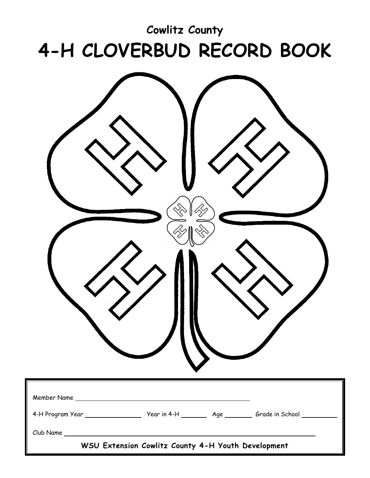### **Cowlitz County 4-H CLOVERBUD RECORD BOOK**

| 4-H Program Year ________________________ Year in 4-H __________ Age __________ Grade in School __________ |
|------------------------------------------------------------------------------------------------------------|
| WSU Extension Cowlitz County 4-H Youth Development                                                         |
|                                                                                                            |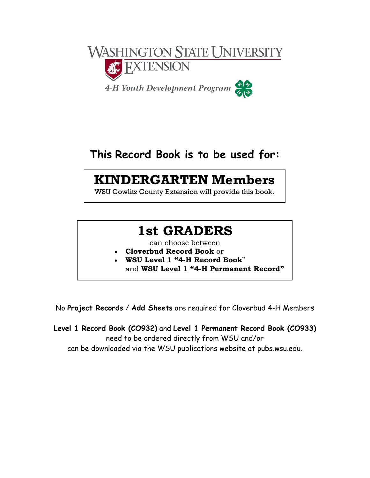

#### **This Record Book is to be used for:**

#### **KINDERGARTEN Members**

WSU Cowlitz County Extension will provide this book.

#### **1st GRADERS**

can choose between

- **Cloverbud Record Book** or
- **WSU Level 1 "4-H Record Book**" and and **WSU Level 1 "4-H Permanent Record"**

No **Project Records** / **Add Sheets** are required for Cloverbud 4-H Members

**Level 1 Record Book (CO932)** and **Level 1 Permanent Record Book (CO933)** need to be ordered directly from WSU and/or can be downloaded via the WSU publications website at pubs.wsu.edu.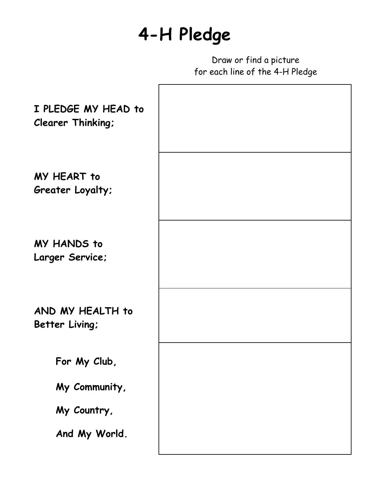### **4-H Pledge**

Draw or find a picture for each line of the 4-H Pledge

| I PLEDGE MY HEAD to<br><b>Clearer Thinking:</b> |  |
|-------------------------------------------------|--|
| MY HEART to<br>Greater Loyalty;                 |  |
| <b>MY HANDS to</b><br>Larger Service;           |  |
| AND MY HEALTH to<br>Better Living;              |  |
| For My Club,                                    |  |
| My Community,                                   |  |
| My Country,                                     |  |
| And My World.                                   |  |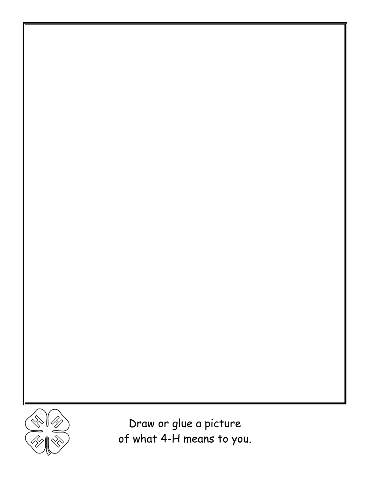

Draw or glue a picture of what 4-H means to you.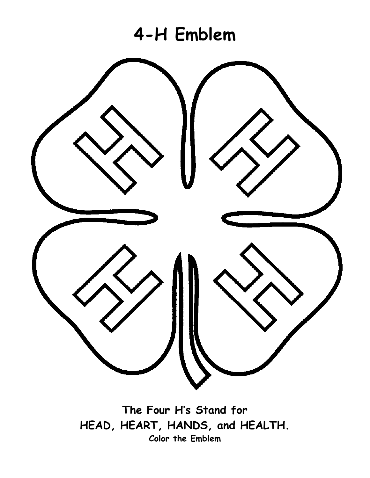

**The Four H's Stand for HEAD, HEART, HANDS, and HEALTH. Color the Emblem**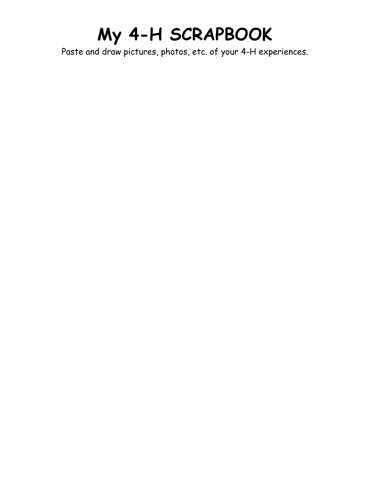# **My 4-H SCRAPBOOK**

Paste and draw pictures, photos, etc. of your 4-H experiences.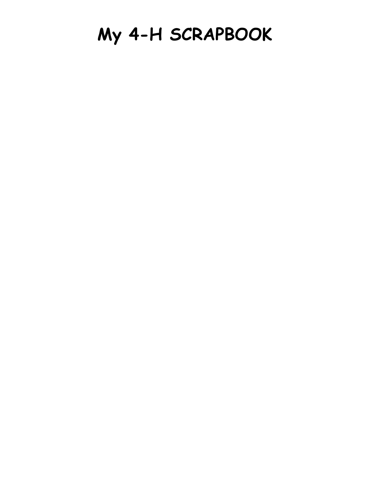## **My 4-H SCRAPBOOK**